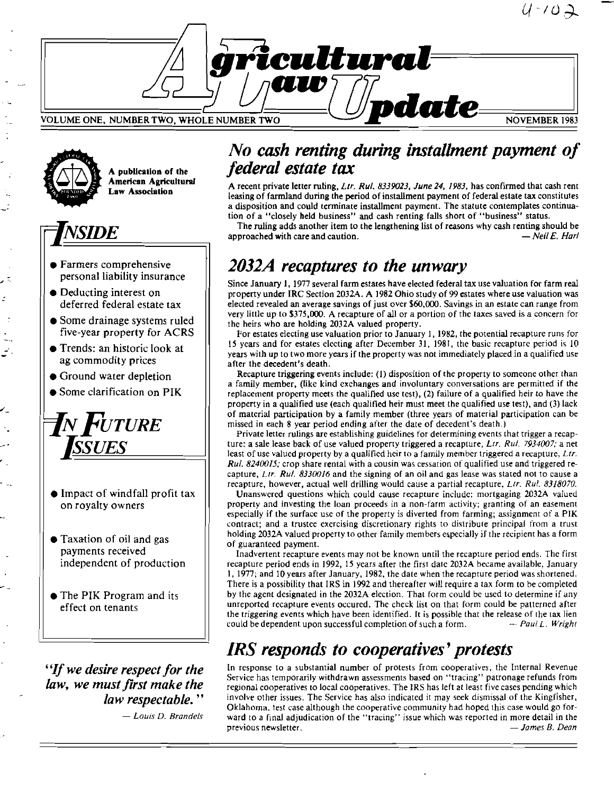icultural  $\underbrace{\cup}_{\text{VOLUME ONE, NUMBER TWO, WHOLE NUMBER TWO}} \cup \underline{\cup}_{\text{LOUCME ONE, NUMBER 1983}}$ 



"

-'.

**American Agricultural Law Association** 

## **NSIDE**

- **Farmers comprehensive** personal liability insurance
- Deducting interest on deferred federal estate tax
- Some drainage systems ruled five-year property for ACRS
- Trends: an historic look at ag commodity prices
- **Ground water depletion**
- Some clarification on PIK



- Impact of windfall profit tax on royalty owners
- **Taxation of oil and gas** payments received independent of production
- The PIK Program and its effect on tenants

*"If we desire respect for the law, we must first make the* law respectable."

*- Louis D. Brandeis* 

## *No cash renting during installment payment of federal estate tax*

 $4 - 102$ 

A recent private letter ruling, Ltr. Rul. 8339023, June 24, 1983, has confirmed that cash rent leasing of farmland during the period of installment payment of federal estate tax constitutes a disposition and could terminate installment payment. The statute contemplates continuation of a "closely held business" and cash renting falls short of "business" status.

The ruling adds another item to the lengthening list of reasons why cash renting should be proached with care and caution.  $-$  Neil E. Harl approached with care and caution.

## *2032A recaptures to the unwary*

Since January 1,1977 several farm estates have elected federal tax use valuation for farm real property under IRC Section 2032A. A 1982 Ohio study of 99 estates where use valuation was elected revealed an average savings of just over \$60,000. Savings in an estate can range from very little up to \$375,000. A recapture of all or a portion of the taxes saved is a concern for the heirs who are holding 2032A valued property.

For estates electing use valuation prior to January I, 1982, the potential recapture runs for IS years and for estates electing after December 31, 1981, the basic recapture period is 10 years with up to two more years if the property was not immediately placed in a qualified use after the decedent's death.

Recapture triggering events include: (1) disposition of the property to someone other than a family member, (like kind exchanges and involuntary conversations are permitted if the replacement property meets the qualified use test), (2) failure of a qualified heir to have the property in a qualified use (each qualified heir must meet the qualified use test), and (3) lack of material participation by a family member (three years of material participation can be missed in each 8 year period ending after the date of decedent's death.)

Private letter rulings are establishing guidelines for determining events that trigger a recapture: a sale lease back of use valued property triggered a recapture, *Ltf. Rut. 7934007;* a net least of use valued property by a qualified heir to a family member triggered a recapture, *Llr. Rul. 8240015;* crop share rental with a cousin was cessalion of qualified use and triggered recapture, *Ltr. Rut. 8330016* and the signing of an oil and gas lease was stated not to cause a recapture, however, actual well drilling would cause a partial recapture, *Llr. Rut. 8318070.* 

Unanswered questions which could cause recapture include: mortgaging 2032A valued property and investing the loan proceeds in a non-farm activity; granting of an easemem especially if the surface use of the property is diverted from farming; assignment of a PIK contract; and a trustee exercising discretionary rights to distribute principal from a trust holding 2032A valued property to other family members especially if the recipient has a form of guaranteed payment.

Inadvertent recapture events may not be known until the recapture period ends. The firsl recapture period ends in 1992, 15 years after the first date 2032A became available, January 1, 1977; and 10 years after January, 1982, the date when the recapture period was shortened. There is a possibility that IRS in 1992 and thereafter will require a tax form to be completed by the agent designated in the 2032A election. That form could be used to determine if any unreported recapture events occured. The check list on that form could be patterned after the triggering events which have been identified. It is possible that the release of the lax lien could be dependent upon successful completion of such a form.  $-$  *Paul L. Wright* 

## *IRS responds to cooperatives' protests*

In response to a substantial number of protests from cooperatives, the Internal Revenue Service has temporarily withdrawn assessments based on "tracing" patronage refunds from regional cooperatives to local cooperatives. The IRS has left at least five cases pending which involve other issues. The Service has also indicated it may seek dismissal of the Kingfisher, Oklahoma. test case although the cooperative community had hoped this case would go forward to a final adjudication of the "tracing" issue which was reported in more detail in the previous newsletter. - *James B. Dean*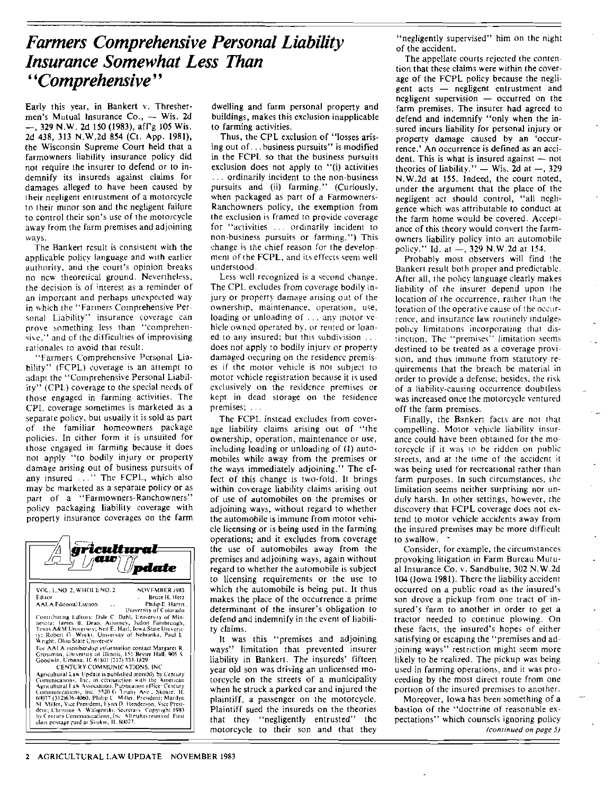### **Farmers Comprehensive Personal Liability** *ing preparty supervised"* him on the night of the accident.<br>Incorrected the contenting **Farm Example 2006 Fact A case Tham Example 2006 The appellate courts rejected the The appellate courts rejected the conten-**<br>Insurance Somewhat Less Than **than insurance Insurance** is expected the conten-*"Comprehensive' ,*

Early this year, in Bankert v. Threshermen's Mutual Insurance Co., - Wis. 2d -,329 N.W. 2d 150 (1983), aff'g 105 Wis. 2d 438, 313 N.W.2d 854 (Ct. App. 1981), the Wisconsin Supreme Court held that a farmowners liability insurance policy did not require the insurer to defend or to indemnify its insureds against claims for damages alleged to have been caused by their negligent entrustment of a motorcycle to their minor son and the negligent failure to comrol their son's use of the motorcycle away from the farm premises and adjoining ways.

The Bankert result is consistent with the applicable policy language and with earlier authority, and the court's opinion breaks no new theoretical ground. Nevertheless. the decision is of interest as a reminder of an imporcant and perhaps unexpected way in which the "Farmers Comprehensive Personal Liability" insurance coverage can prove something less than "comprehensive." and of the difficulties of improvising rationales to avoid that result.

"Farmers Comprehensive Pcrsonal Liability" (FCPL) coverage is an attempt to adapt the "Cornprehensive Personal Liability" (CPL) coverage to the snecial necds of those engaged in farming activities. The CPL coverage sometimes is marketed as a separate policy, but usually it is sold as part of the farniliar homeowners package nolicies. In either form it is unsuited for those engaged in farming because it does not apply "to bodily injury or property damage arising out of business pursuits of any insured ..." The FCPL, which also may be marketed as a separate policy or as part of a "Farmowners-Ranchowners" policy packaging liability coverage with property insurance coverages on the farm



dwelling and farm personal property and buildings, makes this exclusion inapplicable to farming activities.

Thus, the CPL exclusion of "losses arising out of... business pursuits" is modified in the FCPl so that the business pursuits exclusion does not apply to "(i) activities ... ordinarily incident to the non-business pursuits and (ii) farming." (Curiously, when packaged as part of a Farmowners~ Ranchowners policy. the exemption from the exclusion is framed to provide coverage for "activities ... ordinarily incident to non-business pursuits or farming.") This change is the chief reason for the development of the FCPL, and its effects seem well understood.

Less well recognized is a second change. The CPL excludes from coverage bodily injury or property damage arising out of the ownership, maintenance, operation, use, loading or unloading of ... any motor vehicle owncd operated by, or rented or loaned to any insured; but this subdivision  $\dots$ does not apply to bodily injury or property damaged oecuring on the residencc premises if the motor vehicle is not subject to motor vehicle registration because it is used cxclusively on the residence nremises or kept in dead storage on the residence premises;

The FCPL instead excludes from coverage liability claims arising out of "the ownership, operation, maintenance or use, including loading or unloading of (I) automobiles while away from the premises or the ways immediately adjoining." The effect of this change is two-fold. It brings within coverage liability claims arising out of use of automobiles on the premises or adjoining ways, without regard to whether the automobile is immune from motor vehicle licensing or is being used in the farming operations; and it excludes from. coverage the use of automobiles away from the premises and adjoining ways, again without regard to whether the automobile is subject to licensing requirements or the use to which the automobile is being put. It thus makes the place of the occurrence a prime determinant of the insurer's Obligation to defend and indemnify in the event of liability claims.

It was (his "premises and adjoining ways" limitation that prevented insurer liability in Bankert. The insureds' fifteen year old son was driving an unlicensed mo-LOrcycle on the streets of a municipality when he struck a parked car and injured the plaintiff. a passenger on the motorcycle. Plaintiff sued the insureds on the theories that they "negligently entrusted" the motorcycle to their son and that they

age of the FCPL policy because the negligent  $acts$  - negligent entrustment and negligent supervision  $-$  occurred on the farm premjses. The insurer had agreed to defend and indemnify "only when the insured incurs liability for personal injury or property damage caused by an 'occurrenee.' An occurrence is defined as an accident. This is what is insured against  $-$  not theories of liability."  $-$  Wis. 2d at  $-$ , 329 N.W.2d at ISS. Indeed, the court noted, under the argument that the place of the negligent acr should control, "all negligence which was attributable to conduct at the farm home would be covered. Acceptance of this theory would convert the farmowners liability policy into an automobile policy." Id. at  $-$ , 329 N.W.2d at 154.

Probably most observers will find the Bankert result both proper and predictable. After all, the policy language clearly makes liability of the insurer depend upon the location of the occurrence, rather than the loeation of the operative cause of the occurrence, and insurance law routinely indulges. policy limitations incorporating that distinction. The "premises" limitation seems destined to be treated as a coverage provision, and thus immune from statutory requirements that the breach be material in order to provide a defense; besides, the risk of a liability-causing occurrence doubtless was increased once the motorcycle ventured off the farm premises.

Finally, the Bankert facts are not that compelling. Motor vehicle liability insur~ ance could have been obtained for the motorcycle if it was to be ridden on public streets, and at the time of the accident it was being used for recrearional rather than farm purposes. In such circumstances. the limitation seems neither surprising nor unduly harsh. In other settings, however. the discovery that FCPL coverage does not extend to motor vehicle accidents away from the insured premises may bc more difficult to swallow.

Consider, for example, the circumstances provoking litigation in Farm Bureau Mutual Insurance Co. v. Sandbulte, 302 N.W.2d 104 (lowa 1981). There the liability accident occurred on a public road as the insured's son drove a pickup from one tract of insured's farm to another in order to get a tractor needed to continue plowing. On these facts, the insured's hopes of either satisfying or escaping the "premises and adjoining ways" restriction might seem more likely to be realized. The pickup was being used in farming operatiom, and it was proceeding by the most direct route from one portion of the insured premises to another.

Moreover, Iowa has been something of a bastion of the "doctrine of reasonable expectations" which counsels ignoring policy *(continued on page 5)*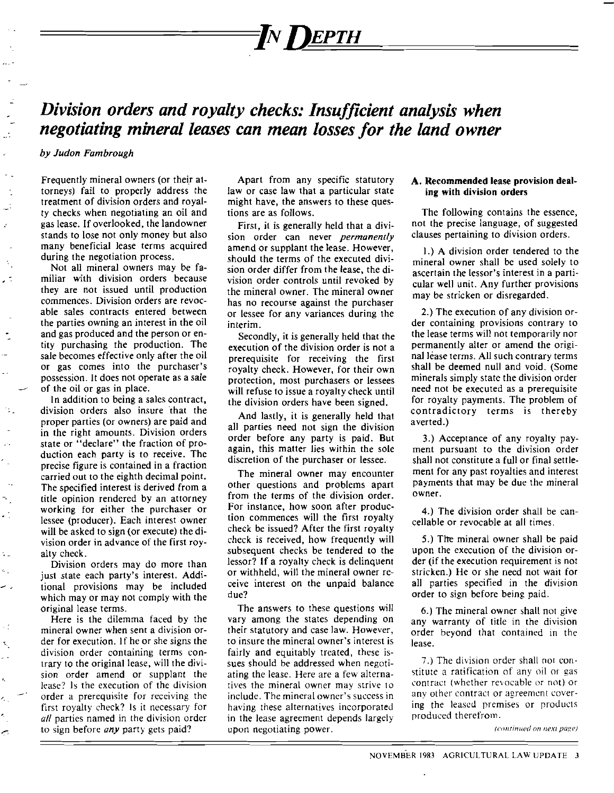## *Division orders and royalty checks: Insufficient analysis when negotiating mineral leases can mean losses for the land owner*

#### *by Judon Fambrough*

 $\mathcal{L}$ 

 $\overline{\phantom{a}}$ 

 $\cdot$  .

Frequently mineral owners (or their attorneys) fail to properly address the treatment of division orders and royalty checks when negotiating an oil and gas lease. If overlooked, the landowner stands to lose not only money but also many beneficial lease terms acquired during the negotiation process.

Not all mineral owners may be familiar with division orders because they are not issued until production commences. Division orders are revocable sales contracts entered between the parties owning an interest in the oil and gas produced and the person or entity purchasing the production. The sale becomes effective only after the oil or gas comes into the purchaser's possession. It does not operate as a sale of the oil or gas in place.

In addition to being a sales contract, division orders also insure that the proper parties (or owners) are paid and in the right amounts. Division orders state or "declare" the fraction of production each party is to receive. The precise figure is contained in a fraction carried out to the eighth decimal point. The specified interest is derived from a title opinion rendered by an attorney working for either the purchaser or ...<br>lessee (producer). Each interest owner will be asked to sign (or execute) the di· vision order in advance of the first royalty check.

> Division orders may do more than just state each party's interest. Additional provisions may be included which may or may not comply with the original lease terms.

> Here is the dilemma faced by the mineral owner when sent a division order for execution. If he or she signs the division order containing terms contrary to the original lease, will the division order amend or supplant the lease? Is the execution of the division order a prerequisite for receiving the first royalty check? Is it necessary for *all* parties named in the division order to sign before *any* party gets paid?

Apart from any specific statutory law or case law that a particular state might have, the answers to these questions are as follows.

=======fN*n*EPTH

 $\overline{a}$ 

First, it is generally held that a division order can never *permanently*  amend or supplant the lease. However, should the terms of the executed division order differ from the lease, the division order controls until revoked by the mineral owner. The mineral owner has no recourse against the purchaser or lessee for any variances during the interim.

Secondly, it is generally held that the execution of the division order is not a prerequisite for receiving the first royalty check. However, for their own protection, most purchasers or lessees will refuse to issue a royalty check until the division orders have been signed.

And lastly, it is generally held that all parties need not sign the division order before any party is paid. But again, this matter lies within the sole discretion of the purchaser or lessee.

The mineral owner may encounter other questions and problems apart from the terms of the division order. For instance, how soon after production commences will the first royalty cheek be issued? After the first royalty check is received, how frequently will subsequent checks be tendered to the lessor? If a royalty check is delinquent or withheld, will the mineral owner receive interest on the unpaid balance due?

The answers to these questions will vary among the states depending on their statutory and case law. However, to insure the mineral owner's interest is fairly and equitably treated, these issues should be addressed when negotiating the lease. Here are a few alternatives the mineral owner may strive to include. The mineral owner's success in having these alternatives incorporated in the lease agreement depends largely upon negotiating power.

#### A. Recommended lease provision deal· **ing with division orders**

The following contains the essence, not the precise language, of suggested clauses pertaining to division orders.

I.) A division order tendered to the mineral owner shall be used solely to ascertain the lessor's interest in a particular well unit. Any further provisions may be stricken or disregarded.

2.) The execution of any division order containing provisions contrary to the lease terms will not temporarily nor permanently alter or amend the originallease terms. All such contrary terms shall be deemed null and void. (Some minerals simply state the division order need not be executed as a prerequisite for royalty payments. The problem of contradictory terms is thereby averted.)

3.) Acceptance of any royalty payment pursuant to the division order shall not constitute a full or final settlement for any past royalties and interest payments that may be due the mineral owner.

4.) The division order shall be cancellable Or revocable at all times.

5.) Tlte mineral owner shall be paid upon the execution of the division order (if the execution requirement is not stricken.) He or she need not wait for all parties specified in the division order to sign before being paid.

6.) The mineral owner shall not give any warranty of title in the division order beyond that contained in the lease.

7.) The division order shall not constitute a ratification of any oil or gas contract (whether revocable or not) or any other contract or agreement covering the leased premises or products rroduced therefrom.

(continued on next page)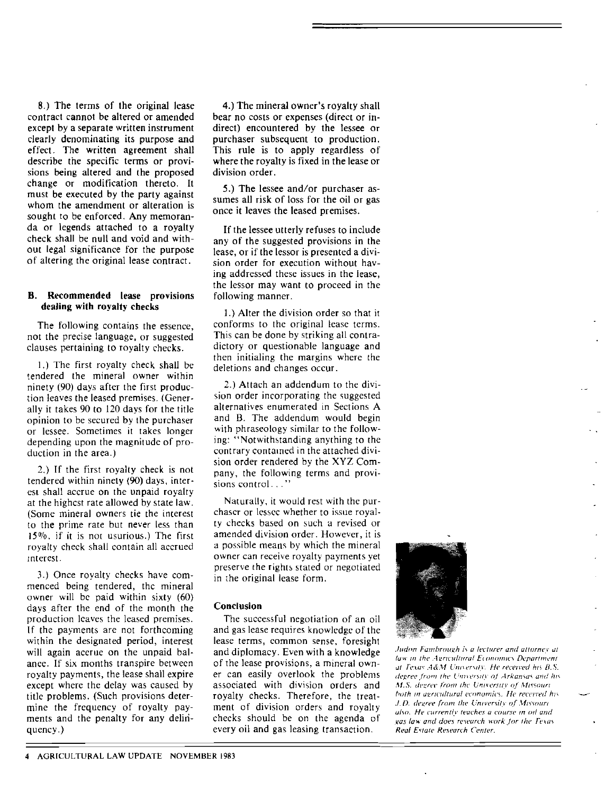8.) The terms of the original lease contract cannot be altered or amended except by a separate written instrument clearly denominating its purpose and effect. The written agreement shall describe the specific terms or provisions being altered and the proposed change or modification thereto. It must be executed by the party against whom the amendment or alteration is sought to be enforced. Any memoranda or legends attached to a royalty check shall be null and void and without legal significance for the purpose of altering the original lease contract.

#### B. Recommended lease provisions dealing with royalty checks

The following contains the essence, not the precise language, or suggested clauses pertaining to royalty checks.

I.) The first royalty check shall be tendered the mineral owner within ninety (90) days after the first production leaves the leased premises. (Gener· ally it takes 90 to 120 days for the title opinion to be secured by the purchaser or lessee. Sometimes it takes longer depending upon the magnitude of production in the area.)

2,) If the first royalty check is not tendered within ninety (90) days, interest shall accrue on the unpaid royalty at the highest rate allowed by state law. (Some mineral owners tie the interest to the prime rate but never less than 15%. if it is not usurious.) The first royalty check shall contain all accrued lnlerest.

3.) Once royalty checks have commenced being tendered, the mineral owner will be paid within sixty (60) days after the end of the month the production leaves the leased premises. If the payments are not forthcoming within the designated period, interest will again accrue on the unpaid balance. If six months transpire between royalty payments, the lease shall expire except where the delay was caused by title problems. (Such provisions determine the frequency of royalty payments and the penalty for any delinquency.)

4.) The mineral owner's royalty shall bear no costs or expenses (direct or indirect) encountered by the lessee Or purchaser subsequent to production, This rule is to apply regardless of where the royalty is fixed in the lease or division order.

5,) The lessee and/or purchaser assumes all risk of loss for the oil or gas once it leaves the leased premises.

If the lessee utterly refuses to include any of the suggested provisions in the lease, or if the lessor is presented a division order for execution without having addressed these issues in the lease, the lessor may want to proceed in the following manner.

1.) Alter the division order so that it conforms to the original lease terms. This can be done by striking all contradictory or questionable language and then initialing the margins where the deletions and changes occur.

2.) Attach an addendum to the division order incorporating the suggested alternatives enumerated in Sections A and B. The addendum would begin with phraseology similar to the following: "Notwithstanding anything to the contrary contained in the attached division order rendered by the XYZ Company. the following terms and provisions control..."

Naturally. it would rest with the purchaser or lesscc whether to issue royalty checks based on such a revised or amended division order. However. it is a possible means by which the mineral owner can receive royalty payments yet preserve the rights stated or negotiated in the original lease form.

#### **Conclusion**

The successful negotiation of an oil and gas lease requires knowledge of the lease terms, common sense. foresight and diplomacy. Even with a knowledge of the lease provisions, a mineral owner can easily overlook the problems associated with division orders and royalty checks, Therefore, the treatment of division orders and royalty checks should be on the agenda of every oil and gas leasing transaction.



Judon Fambrough is a lecturer and attorney at luw in the Agricultural Economics Department  $\mu$ I Texas  $4\&M$  University. He received his B.S. degree from the University of Arkansas and his *M.S. degree from the University of Missouri hoth in agricultural economics. He received his J.D. degree from the University of Missouri* ulso. He currently teaches a course in oil and gas law and does research work for the Texas *Real Ewo/e Reworch* Center.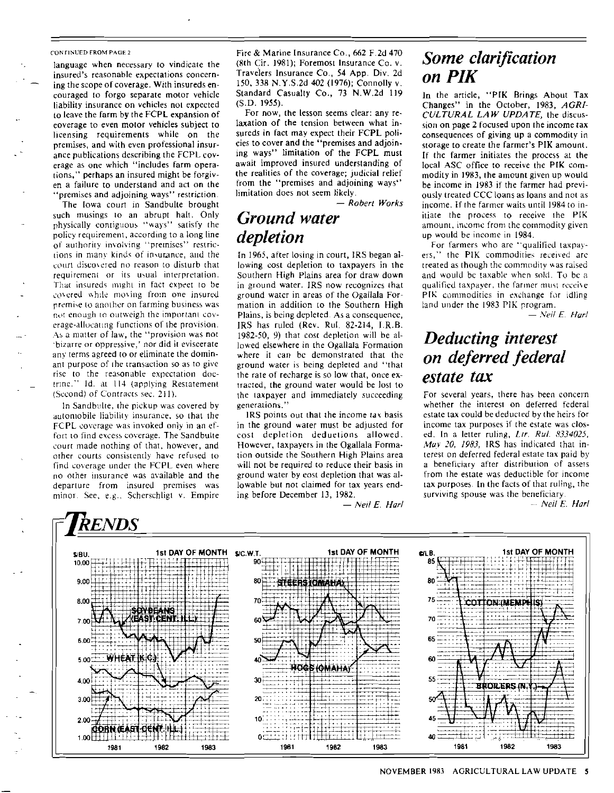#### roNfl'SUED FROM PAGE 2

language when necessary to vindicate the insured's reasonable expectations concerning the scope of coverage. With insureds encouraged to forgo separate motor vehicle liability insurance on vehicles not expected to leave the farm by the FCPl expansion of eoverage to even molor vehicles subject to licensing requirements while on the premises, and with even professional insurance publications describing the FCPL coverage as one which "includes farm operations," perhaps an insured might be forgiven a failure to understand and act on the "premises and adjoining ways" restriction.

The Iowa court in Sandbulle brought such musings to an abrupt halt. Only physically contiguous "ways" satisfy the policy requirement, according to a long line of authority involving "premises" restrictions in many kinds of insurance, and the court discovered no reason to disturb that requirement or its usual interpretation. That insureds might in fact expect to be covered while moving from one insured premi~e to another on farming business was not enough to outweigh the important coverage-allocating functions of the provision. As a matter of law, the "provision was not 'bizarre or oppressive,' nor did it eviscerate any terms agreed to or eliminate the dominant purpose of the transaction so as to give rise to the reasonable expectation doctrine." 1d. at 114 (applying Restatement (Second) of Contracts sec. 211).

In Sandbulte, the pickup was covered by automobile liability imurance. so that the FCPL coverage was invoked only in an effort to find excess coverage. The Sandbulte court made nothing of that, however, and other courts consislently have refused to find coverage under the FCPl even where no other insurance was available and the departure from insured premises was minor. See, e.g., Scherschligt v. Empire

Fire & Marine Insurance Co., 662 F.2d 470 (8th Cir. 1981); Foremost Insurance Co. v. Travelers Insurance Co., 54 App. Div. 2d 150,338 N.Y.S.2d 402 (1976); Connolly v. Standard Casualty Co., 73 N.W.2d 119 (S.D. 1955).

For now, the lesson seems clear: any relaxation of the tension between what insureds in fact may expect their FCPL policies to cover and the "premises and adjoining ways" limitation of the FCPL must await improved insured understanding of the realities of the coverage; judicial relief from the "premises and adjoining ways" limitation does not seem likely.

*- Robert Works* 

### *Ground water depletion*

In 1965, after losing in court, IRS began allowing cost depletion to taxpayers in the Southern High Plains area for draw down in ground water. IRS now recognizes that ground water in areas of the Ogallala For~ mation in addition to the Southern High Plains, is being depleted\_ As a consequence, IRS has ruled (Rev. Rul. 82·214, I.R.S. 1982-50, 9) that cost depletion will be al~ lowed elsewhere in the Ogallala Formation where it can be demonstrated that the ground water is being depleted and "that the rate of recharge is so low that, once extracted, the ground water would be lost to the taxpayer and immediately succeeding generations;. "

IRS points out that the income tax basis in the ground water must be adjusted for cost depletion deduetions allowed. However, taxpayers in the Ogallala Formation outside the Southern High Plains area will not be required to reduce their basis in ground water by east depletion that was allowable but not claimed for tax years ending before December 13, 1982.

#### - Neil E. Harl

### *Some clarification onPIK*

In the article, "PIK Brings About Tax Changes" in the October, 1983, *AGRI-CULTURAL LA W UPDA TE,* the discussion on page 2 focused upon the income tax consequences of giving up a commodity in storage to create the farmer's PIK amount. If the farmer initiates the process at the local ASC office to receive the PIK commodity in 1983, the amount given up would be income in 1983 jf the farmer had previously treated CCC loans as loans and not as income. If the farmer waits umil 1984 to initiate the process to receive the PIK amount, income from the commodity given up would be income in 1984.

For farmers who are "qualified taxpay~ ers," the PIK commodities received arc treated as though the commodity was raised and would be taxable when sold. To be a qualified taxpayer, the farmer must receive PIK commodities in exchange for idling land under the 1983 PIK program.

*- .Veil E. Harl* 

### *Deducting interest on deferred federal estate tax*

For several years, there has been concern whether the interest on deferred federal estate tax could be deducted by the heirs for income tax purposes if the estate was closed. In a letter ruling, *Lfr. Rut 8334025. May 20, 1983*, IRS has indicated that interest on deferred federal estate tax paid by a beneficiary after distribution of assets from the estate was deductible for income tax purposes. In the facts of that ruling, the surviving spouse was the beneficiary.

-- Neil E. Harl